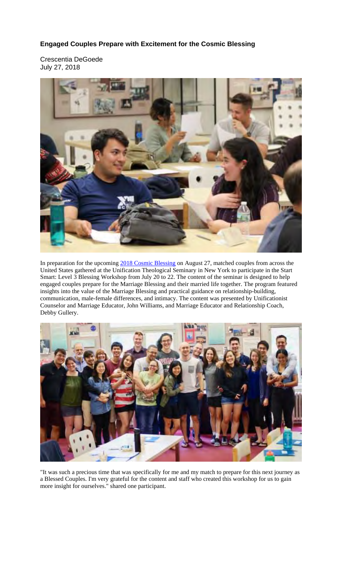## **Engaged Couples Prepare with Excitement for the Cosmic Blessing**

Crescentia DeGoede July 27, 2018



In preparation for the upcoming 2018 Cosmic Blessing on August 27, matched couples from across the United States gathered at the Unification Theological Seminary in New York to participate in the Start Smart: Level 3 Blessing Workshop from July 20 to 22. The content of the seminar is designed to help engaged couples prepare for the Marriage Blessing and their married life together. The program featured insights into the value of the Marriage Blessing and practical guidance on relationship-building, communication, male-female differences, and intimacy. The content was presented by Unificationist Counselor and Marriage Educator, John Williams, and Marriage Educator and Relationship Coach, Debby Gullery.



"It was such a precious time that was specifically for me and my match to prepare for this next journey as a Blessed Couples. I'm very grateful for the content and staff who created this workshop for us to gain more insight for ourselves." shared one participant.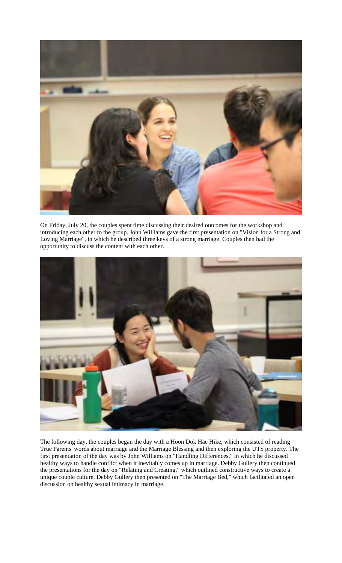

On Friday, July 20, the couples spent time discussing their desired outcomes for the workshop and introducing each other to the group. John Williams gave the first presentation on "Vision for a Strong and Loving Marriage", in which he described three keys of a strong marriage. Couples then had the opportunity to discuss the content with each other.



The following day, the couples began the day with a Hoon Dok Hae Hike, which consisted of reading True Parents' words about marriage and the Marriage Blessing and then exploring the UTS property. The first presentation of the day was by John Williams on "Handling Differences," in which he discussed healthy ways to handle conflict when it inevitably comes up in marriage. Debby Gullery then continued the presentations for the day on "Relating and Creating," which outlined constructive ways to create a unique couple culture. Debby Gullery then presented on "The Marriage Bed," which facilitated an open discussion on healthy sexual intimacy in marriage.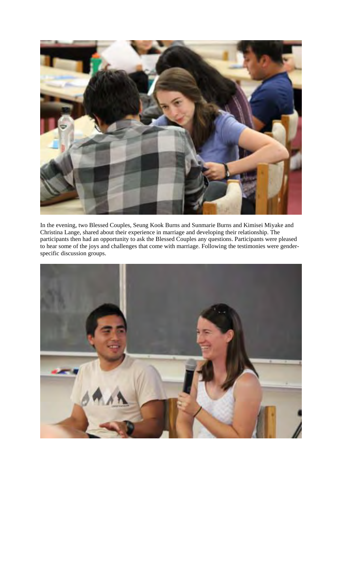

In the evening, two Blessed Couples, Seung Kook Burns and Sunmarie Burns and Kimisei Miyake and Christina Lange, shared about their experience in marriage and developing their relationship. The participants then had an opportunity to ask the Blessed Couples any questions. Participants were pleased to hear some of the joys and challenges that come with marriage. Following the testimonies were genderspecific discussion groups.

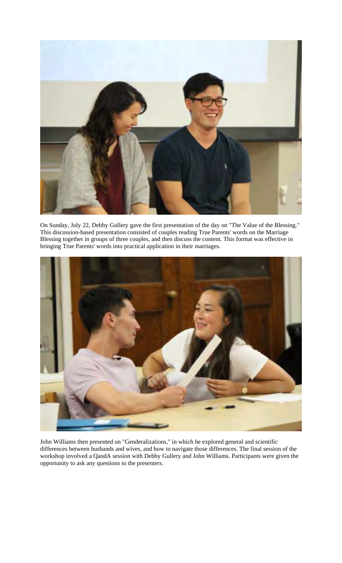

On Sunday, July 22, Debby Gullery gave the first presentation of the day on "The Value of the Blessing." This discussion-based presentation consisted of couples reading True Parents' words on the Marriage Blessing together in groups of three couples, and then discuss the content. This format was effective in bringing True Parents' words into practical application in their marriages.



John Williams then presented on "Genderalizations," in which he explored general and scientific differences between husbands and wives, and how to navigate those differences. The final session of the workshop involved a QandA session with Debby Gullery and John Williams. Participants were given the opportunity to ask any questions to the presenters.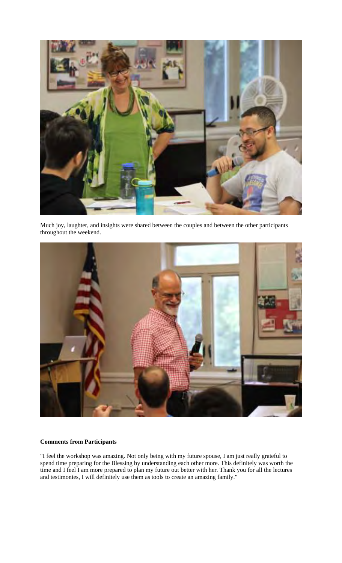

Much joy, laughter, and insights were shared between the couples and between the other participants throughout the weekend.



## **Comments from Participants**

"I feel the workshop was amazing. Not only being with my future spouse, I am just really grateful to spend time preparing for the Blessing by understanding each other more. This definitely was worth the time and I feel I am more prepared to plan my future out better with her. Thank you for all the lectures and testimonies, I will definitely use them as tools to create an amazing family."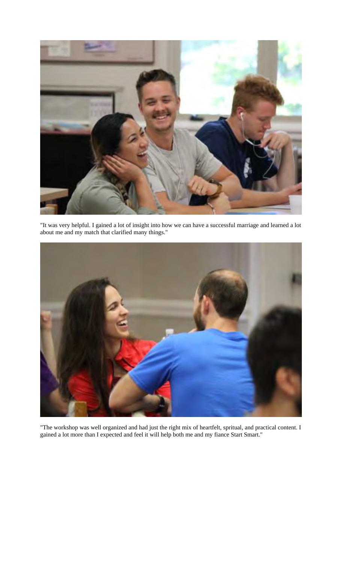

"It was very helpful. I gained a lot of insight into how we can have a successful marriage and learned a lot about me and my match that clarified many things."



"The workshop was well organized and had just the right mix of heartfelt, spritual, and practical content. I gained a lot more than I expected and feel it will help both me and my fiance Start Smart."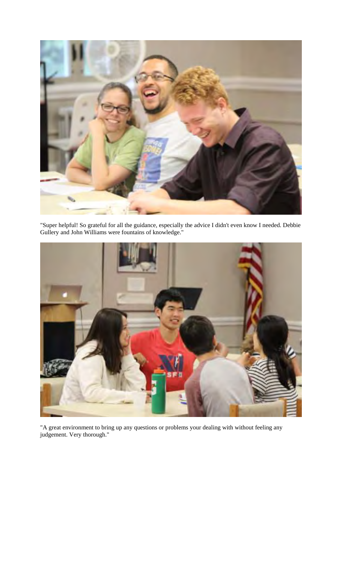

"Super helpful! So grateful for all the guidance, especially the advice I didn't even know I needed. Debbie Gullery and John Williams were fountains of knowledge."



"A great environment to bring up any questions or problems your dealing with without feeling any judgement. Very thorough."